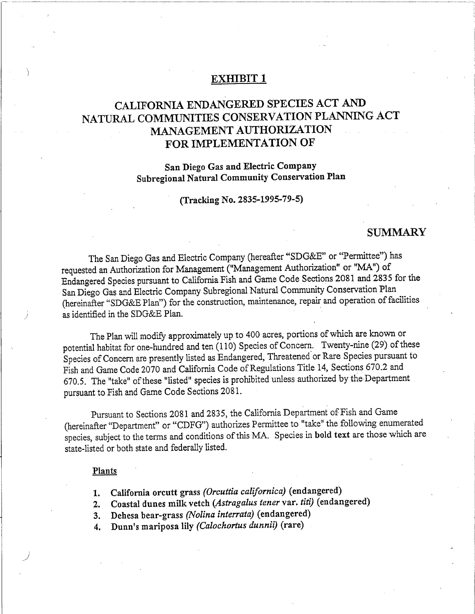## **EXHIBIT 1**

# CALIFORNIA ENDANGERED SPECIES ACT AND NATURAL COMMUNITIES CONSERVATION PLANNING ACT MANAGEMENT AUTHORIZATION FOR IMPLEMENTATION OF

## San Diego Gas and Electric Company Subregional Natural Community Conservation Plan

(Tracking No. 2835-1995-79-5)

## **SUMMARY**

The San Diego Gas and Electric Company (hereafter "SDG&E" or "Permittee") has requested an Authorization for Management ("Management Authorization" or "MA") of Endangered Species pursuant to California Fish and Game Code Sections 2081 and 2835 for the San Diego Gas and Electric Company Subregional Natural Community Conservation Plan (hereinafter "SDG&E Plan") for the construction, maintenance, repair and operation of facilities as identified in the SDG&E Plan.

The Plan will modify approximately up to 400 acres, portions of which are known or potential habitat for one-hundred and ten (110) Species of Concern. Twenty-nine (29) of these Species of Concern are presently listed as Endangered, Threatened or Rare Species pursuant to Fish and Game Code 2070 and California Code of Regulations Title 14, Sections 670.2 and 670.5. The "take" of these "listed" species is prohibited unless authorized by the Department pursuant to Fish and Game Code Sections 2081.

Pursuant to Sections 2081 and 2835, the California Department of Fish and Game (hereinafter "Department" or "CDFG") authorizes Permittee to "take" the following enumerated species, subject to the terms and conditions of this MA. Species in bold text are those which are state-listed or both state and federally listed.

#### Plants

- 1. California orcutt grass (Orcuttia californica) (endangered)
- 2. Coastal dunes milk vetch (Astragalus tener var. titi) (endangered)
- Dehesa bear-grass (Nolina interrata) (endangered)  $3.$
- Dunn's mariposa lily (Calochortus dunnii) (rare)  $\overline{4}$ .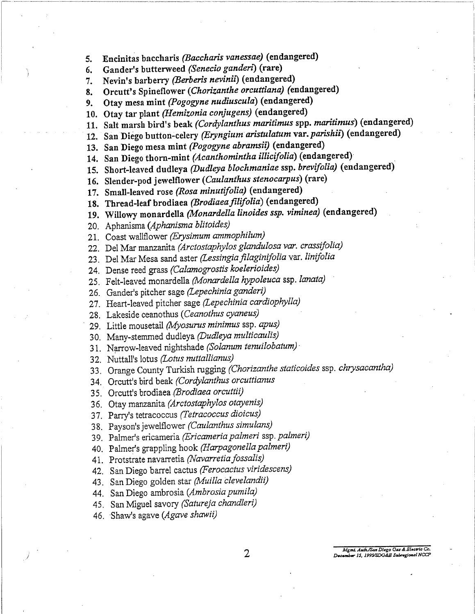Encinitas baccharis (Baccharis vanessae) (endangered) 5.

Gander's butterweed (Senecio ganderi) (rare) 6.

Nevin's barberry (Berberis nevinii) (endangered)  $7.$ 

Orcutt's Spineflower (Chorizanthe orcuttiana) (endangered) 8.

Otay mesa mint (Pogogyne nudiuscula) (endangered)  $9<sub>1</sub>$ 

10. Otay tar plant (Hemizonia conjugens) (endangered)

11. Salt marsh bird's beak (Cordylanthus maritimus spp. maritimus) (endangered)

12. San Diego button-celery (Eryngium aristulatum var. parishii) (endangered)

13. San Diego mesa mint (Pogogyne abramsii) (endangered)

14. San Diego thorn-mint (Acanthomintha illicifolia) (endangered)

15. Short-leaved dudleya (Dudleya blochmaniae ssp. brevifolia) (endangered)

16. Slender-pod jewelflower (Caulanthus stenocarpus) (rare)

17. Small-leaved rose (Rosa minutifolia) (endangered)

18. Thread-leaf brodiaea (Brodiaea filifolia) (endangered)

19. Willowy monardella (Monardella linoides ssp. viminea) (endangered)

20. Aphanisma (Aphanisma blitoides)

21. Coast wallflower (Erysimum ammophilum)

22. Del Mar manzanita (Arctostaphylos glandulosa var. crassifolia)

23. Del Mar Mesa sand aster (Lessingia filaginifolia var. linifolia

24. Dense reed grass (Calamogrostis koelerioides)

25. Felt-leaved monardella (Monardella hypoleuca ssp. lanata)

26. Gander's pitcher sage (Lepechinia ganderi)

27. Heart-leaved pitcher sage (Lepechinia cardiophylla)

28. Lakeside ceanothus (Ceanothus cyaneus)

29. Little mousetail (Myosurus minimus ssp. apus)

30. Many-stemmed dudleya (Dudleya multicaulis)

31. Narrow-leaved nightshade (Solanum tenuilobatum)

32. Nuttall's lotus (Lotus muttallianus)

33. Orange County Turkish rugging (Chorizanthe staticoides ssp. chrysacantha)

34. Orcutt's bird beak (Cordylanthus orcuttianus

35. Orcutt's brodiaea (Brodiaea orcuttii)

36. Otay manzanita (Arctostaphylos otayenis)

37. Parry's tetracoccus (Tetracoccus dioicus)

38. Payson's jewelflower (Caulanthus simulans)

39. Palmer's ericameria (Ericameria palmeri ssp. palmeri)

40. Palmer's grappling hook (Harpagonella palmeri)

41. Protstrate navarretia (Navarretia fossalis)

42. San Diego barrel cactus (Ferocactus viridescens)

43. San Diego golden star (Muilla clevelandii)

44. San Diego ambrosia (Ambrosia pumila)

45. San Miguel savory (Satureja chandleri)

46. Shaw's agave (Agave shawii)

Mgmt. Auth/San Diego Gas & Blectric Co. # 15, 1995/SDG&B Subregional NCCP

 $\overline{2}$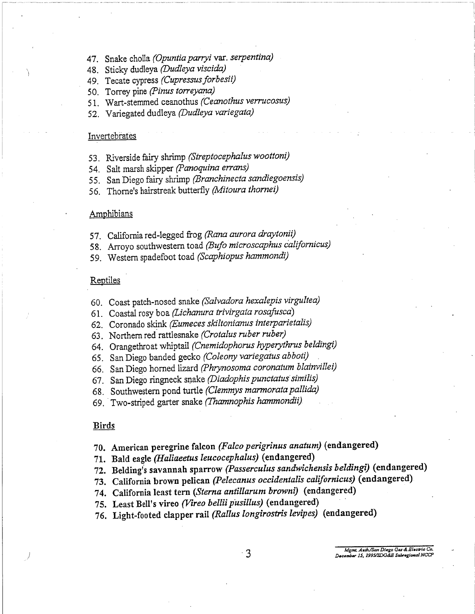- 47. Snake cholla (Opuntia parryi var. serpentina)
- 48. Sticky dudleya (Dudleya viscida)
- 49. Tecate cypress (Cupressus forbesii)
- 50. Torrey pine (Pinus torreyana)
- 51. Wart-stemmed ceanothus (Ceanothus verrucosus)
- 52. Variegated dudleya (Dudleya variegata)

## Invertebrates

- 53. Riverside fairy shrimp (Streptocephalus woottoni)
- 54. Salt marsh skipper (Panoquina errans)
- 55. San Diego fairy shrimp (Branchinecta sandiegoensis)
- 56. Thorne's hairstreak butterfly (Mitoura thornei)

#### Amphibians

- 57. California red-legged frog (Rana aurora draytonii)
- 58. Arroyo southwestern toad (Bufo microscaphus californicus)
- 59. Western spadefoot toad (Scaphiopus hammondi)

#### Reptiles

- 60. Coast patch-nosed snake (Salvadora hexalepis virgultea)
- 61. Coastal rosy boa (Lichanura trivirgata rosafusca)
- 62. Coronado skink (Eumeces skiltonianus interparietalis)
- 63. Northern red rattlesnake (Crotalus ruber ruber)
- 64. Orangethroat whiptail (Cnemidophorus hyperythrus beldingi)
- 65. San Diego banded gecko (Coleony variegatus abboti)
- 66. San Diego horned lizard (Phrynosoma coronatum blainvillei)
- 67. San Diego ringneck snake (Diadophis punctatus similis)
- 68. Southwestern pond turtle (Clemmys marmorata pallida)
- 69. Two-striped garter snake (Thamnophis hammondii)

#### **Birds**

- 70. American peregrine falcon (Falco perigrinus anatum) (endangered)
- 71. Bald eagle (Haliaeetus leucocephalus) (endangered)
- 72. Belding's savannah sparrow (Passerculus sandwichensis beldingi) (endangered)
- 73. California brown pelican (Pelecanus occidentalis californicus) (endangered).
- 74. California least tern (Sterna antillarum browni) (endangered)
- 75. Least Bell's vireo (Vireo bellii pusillus) (endangered)
- 76. Light-footed clapper rail (Rallus longirostris levipes) (endangered)

Mgmt. Auth/San Diego Gas & Blectric Co.<br>December 15, 1995/SDG&B Subregional NCCP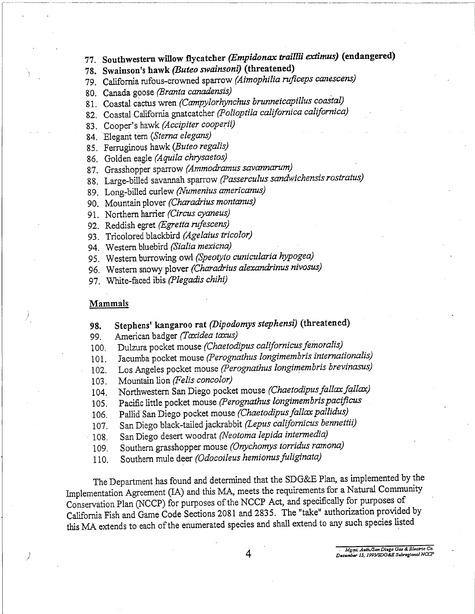77. Southwestern willow flycatcher (Empidonax traillii extimus) (endangered)

78. Swainson's hawk (Buteo swainsoni) (threatened)

- 79. California rufous-crowned sparrow (Aimophilia ruficeps canescens)
- 80. Canada goose (Branta canadensis)
- 81. Coastal cactus wren (Campylorhynchus brunneicapillus coastal)
- 82. Coastal California gnatcatcher (Polioptila californica californica)
- 83. Cooper's hawk (Accipiter cooperii)
- 84. Elegant tern (Sterna elegans)
- 85. Ferruginous hawk (Buteo regalis)
- 86. Golden eagle (Aquila chrysaetos)
- 87. Grasshopper sparrow (Ammodramus savannarum)
- 88. Large-billed savannah sparrow (Passerculus sandwichensis rostratus)
- 89. Long-billed curlew (Numenius americanus)
- 90. Mountain plover (Charadrius montanus)
- 91. Northern harrier (Circus cyaneus)
- 92. Reddish egret (Egretta rufescens)
- 93. Tricolored blackbird (Agelaius tricolor)
- 94. Western bluebird (Sialia mexicna)
- 95. Western burrowing owl (Speotyto cunicularia hypogea)
- 96. Western snowy plover (Charadrius alexandrinus nivosus)
- 97. White-faced ibis (Plegadis chihi)

#### Mammals

- Stephens' kangaroo rat (Dipodomys stephensi) (threatened) 98.
- American badger (Taxidea taxus) 99.
- Dulzura pocket mouse (Chaetodipus californicus femoralis)  $100.$
- Jacumba pocket mouse (Perognathus longimembris internationalis) 101.
- Los Angeles pocket mouse (Perognathus longimembris brevinasus) 102.
- Mountain lion (Felis concolor) 103.
- Northwestern San Diego pocket mouse (Chaetodipus fallax fallax) 104.
- Pacific little pocket mouse (Perognathus longimembris pacificus 105.
- Pallid San Diego pocket mouse (Chaetodipus fallax pallidus) 106.
- San Diego black-tailed jackrabbit (Lepus californicus bennettii) 107.
- San Diego desert woodrat (Neotoma lepida intermedia) 108.
- Southern grasshopper mouse (Onychomys torridus ramona) 109.
- Southern mule deer (Odocoileus hemionus fuliginata) 110.

The Department has found and determined that the SDG&E Plan, as implemented by the Implementation Agreement (IA) and this MA, meets the requirements for a Natural Community Conservation Plan (NCCP) for purposes of the NCCP Act, and specifically for purposes of California Fish and Game Code Sections 2081 and 2835. The "take" authorization provided by this MA extends to each of the enumerated species and shall extend to any such species listed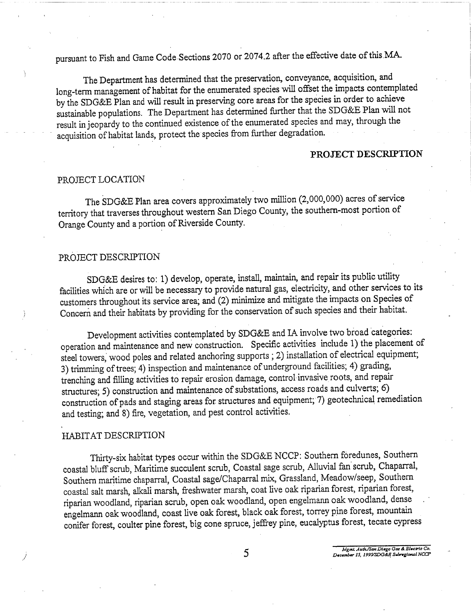pursuant to Fish and Game Code Sections 2070 or 2074.2 after the effective date of this MA.

The Department has determined that the preservation, conveyance, acquisition, and long-term management of habitat for the enumerated species will offset the impacts contemplated by the SDG&E Plan and will result in preserving core areas for the species in order to achieve sustainable populations. The Department has determined further that the SDG&E Plan will not result in jeopardy to the continued existence of the enumerated species and may, through the acquisition of habitat lands, protect the species from further degradation.

### PROJECT DESCRIPTION

#### PROJECT LOCATION

The SDG&E Plan area covers approximately two million (2,000,000) acres of service territory that traverses throughout western San Diego County, the southern-most portion of Orange County and a portion of Riverside County.

### PROJECT DESCRIPTION

SDG&E desires to: 1) develop, operate, install, maintain, and repair its public utility facilities which are or will be necessary to provide natural gas, electricity, and other services to its customers throughout its service area; and (2) minimize and mitigate the impacts on Species of Concern and their habitats by providing for the conservation of such species and their habitat.

Development activities contemplated by SDG&E and IA involve two broad categories: operation and maintenance and new construction. Specific activities include 1) the placement of steel towers, wood poles and related anchoring supports ; 2) installation of electrical equipment; 3) trimming of trees; 4) inspection and maintenance of underground facilities; 4) grading, trenching and filling activities to repair erosion damage, control invasive roots, and repair structures; 5) construction and maintenance of substations, access roads and culverts; 6) construction of pads and staging areas for structures and equipment; 7) geotechnical remediation and testing; and 8) fire, vegetation, and pest control activities.

## HABITAT DESCRIPTION

Thirty-six habitat types occur within the SDG&E NCCP: Southern foredunes, Southern coastal bluff scrub, Maritime succulent scrub, Coastal sage scrub, Alluvial fan scrub, Chaparral, Southern maritime chaparral, Coastal sage/Chaparral mix, Grassland, Meadow/seep, Southern coastal salt marsh, alkali marsh, freshwater marsh, coat live oak riparian forest, riparian forest, riparian woodland, riparian scrub, open oak woodland, open engelmann oak woodland, dense engelmann oak woodland, coast live oak forest, black oak forest, torrey pine forest, mountain conifer forest, coulter pine forest, big cone spruce, jeffrey pine, eucalyptus forest, tecate cypress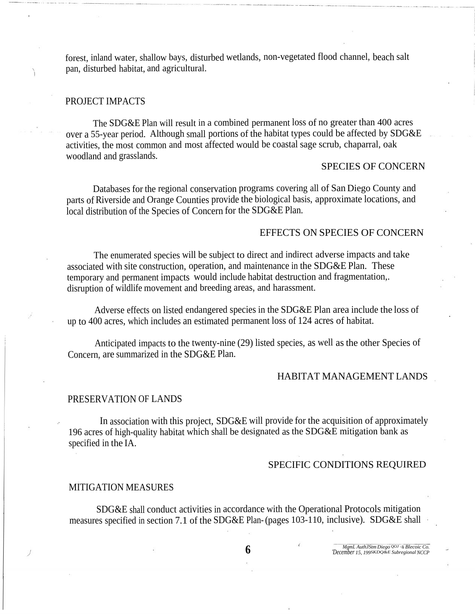forest, inland water, shallow bays, disturbed wetlands, non-vegetated flood channel, beach salt pan, disturbed habitat, and agricultural.

## PROJECT IMPACTS

The SDG&E Plan will result in a combined permanent loss of no greater than 400 acres over a 55-year period. Although small portions of the habitat types could be affected by SDG&E activities, the most common and most affected would be coastal sage scrub, chaparral, oak woodland and grasslands.

## SPECIES OF CONCERN

Databases for the regional conservation programs covering all of San Diego County and parts of Riverside and Orange Counties provide the biological basis, approximate locations, and local distribution of the Species of Concern for the SDG&E Plan.

## EFFECTS ON SPECIES OF CONCERN

The enumerated species will be subject to direct and indirect adverse impacts and take associated with site construction, operation, and maintenance in the SDG&E Plan. These temporary and permanent impacts would include habitat destruction and fragmentation,. disruption of wildlife movement and breeding areas, and harassment.

Adverse effects on listed endangered species in the SDG&E Plan area include the loss of up to 400 acres, which includes an estimated permanent loss of 124 acres of habitat.

Anticipated impacts to the twenty-nine (29) listed species, as well as the other Species of Concern, are summarized in the SDG&E Plan.

### HABITAT MANAGEMENT LANDS

### PRESERVATION OF LANDS

In association with this project, SDG&E will provide for the acquisition of approximately 196 acres of high-quality habitat which shall be designated as the SDG&E mitigation bank as specified in the IA.

### SPECIFIC CONDITIONS REQUIRED

#### MITIGATION MEASURES

SDG&E shall conduct activities in accordance with the Operational Protocols mitigation measures specified in section 7.1 of the SDG&E Plan-(pages 103-110, inclusive). SDG&E shall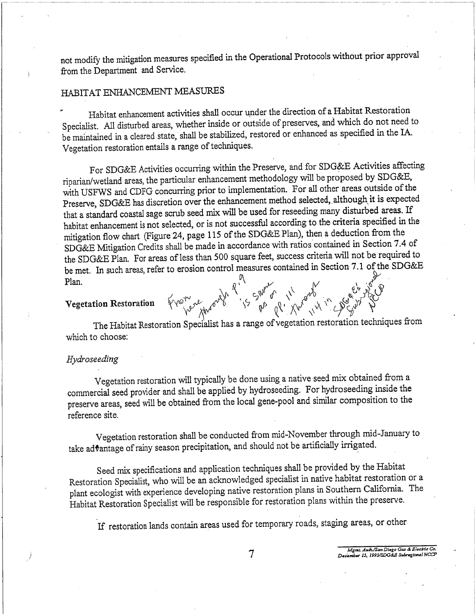not modify the mitigation measures specified in the Operational Protocols without prior approval from the Department and Service.

## HABITAT ENHANCEMENT MEASURES

Habitat enhancement activities shall occur under the direction of a Habitat Restoration Specialist. All disturbed areas, whether inside or outside of preserves, and which do not need to be maintained in a cleared state, shall be stabilized, restored or enhanced as specified in the IA. Vegetation restoration entails a range of techniques.

For SDG&E Activities occurring within the Preserve, and for SDG&E Activities affecting riparian/wetland areas, the particular enhancement methodology will be proposed by SDG&E, with USFWS and CDFG concurring prior to implementation. For all other areas outside of the Preserve, SDG&E has discretion over the enhancement method selected, although it is expected that a standard coastal sage scrub seed mix will be used for reseeding many disturbed areas. If habitat enhancement is not selected, or is not successful according to the criteria specified in the mitigation flow chart (Figure 24, page 115 of the SDG&E Plan), then a deduction from the SDG&E Mitigation Credits shall be made in accordance with ratios contained in Section 7.4 of the SDG&E Plan. For areas of less than 500 square feet, success criteria will not be required to be met. In such areas, refer to erosion control measures contained in Section 7.1 of the SDG&E Plan. Avenue March 21 5 Support of 11 point 12 point of

## **Vegetation Restoration**

The Habitat Restoration Specialist has a range of vegetation restoration techniques from which to choose:

## Hydroseeding

Vegetation restoration will typically be done using a native seed mix obtained from a commercial seed provider and shall be applied by hydroseeding. For hydroseeding inside the preserve areas, seed will be obtained from the local gene-pool and similar composition to the reference site.

Vegetation restoration shall be conducted from mid-November through mid-January to take advantage of rainy season precipitation, and should not be artificially irrigated.

Seed mix specifications and application techniques shall be provided by the Habitat Restoration Specialist, who will be an acknowledged specialist in native habitat restoration or a plant ecologist with experience developing native restoration plans in Southern California. The Habitat Restoration Specialist will be responsible for restoration plans within the preserve.

If restoration lands contain areas used for temporary roads, staging areas, or other

MgmL Auth/San Diego Gas & Blechic Co.

December 15, 1995/SDG&B Subregional NCCP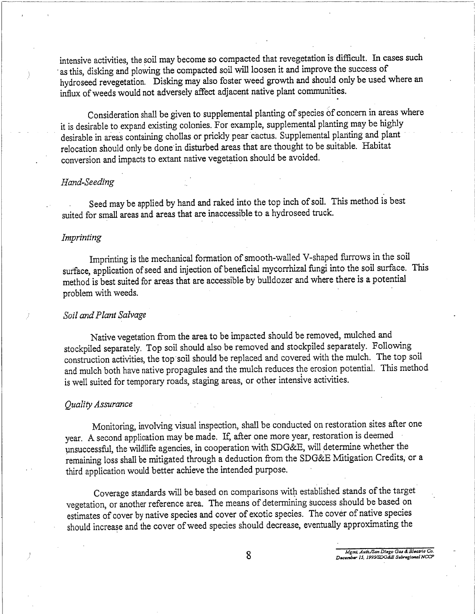intensive activities, the soil may become so compacted that revegetation is difficult. In cases such as this, disking and plowing the compacted soil will loosen it and improve the success of hydroseed revegetation. Disking may also foster weed growth and should only be used where an influx of weeds would not adversely affect adjacent native plant communities.

Consideration shall be given to supplemental planting of species of concern in areas where it is desirable to expand existing colonies. For example, supplemental planting may be highly desirable in areas containing chollas or prickly pear cactus. Supplemental planting and plant relocation should only be done in disturbed areas that are thought to be suitable. Habitat conversion and impacts to extant native vegetation should be avoided.

#### Hand-Seeding

Seed may be applied by hand and raked into the top inch of soil. This method is best suited for small areas and areas that are inaccessible to a hydroseed truck.

## Imprinting

Imprinting is the mechanical formation of smooth-walled V-shaped furrows in the soil surface, application of seed and injection of beneficial mycorrhizal fungi into the soil surface. This method is best suited for areas that are accessible by bulldozer and where there is a potential problem with weeds.

#### Soil and Plant Salvage

Native vegetation from the area to be impacted should be removed, mulched and stockpiled separately. Top soil should also be removed and stockpiled separately. Following construction activities, the top soil should be replaced and covered with the mulch. The top soil and mulch both have native propagules and the mulch reduces the erosion potential. This method is well suited for temporary roads, staging areas, or other intensive activities.

### Ouality Assurance

Monitoring, involving visual inspection, shall be conducted on restoration sites after one year. A second application may be made. If, after one more year, restoration is deemed unsuccessful, the wildlife agencies, in cooperation with SDG&E, will determine whether the remaining loss shall be mitigated through a deduction from the SDG&E Mitigation Credits, or a third application would better achieve the intended purpose.

Coverage standards will be based on comparisons with established stands of the target vegetation, or another reference area. The means of determining success should be based on estimates of cover by native species and cover of exotic species. The cover of native species should increase and the cover of weed species should decrease, eventually approximating the

MgmL Auth/San Diego Gas & Blectric Co.<br>December 15, 1995/SDG&E Subregional NCCP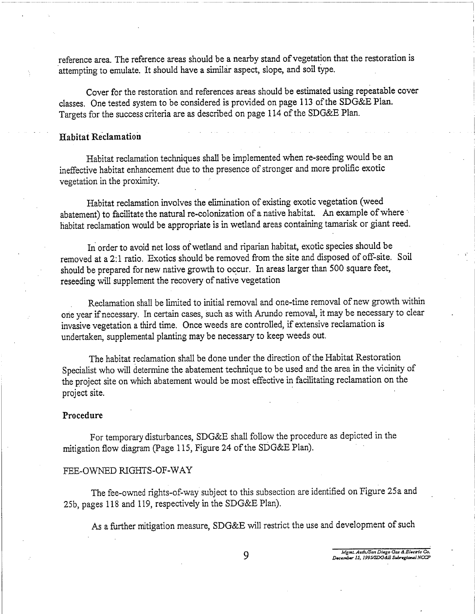reference area. The reference areas should be a nearby stand of vegetation that the restoration is attempting to emulate. It should have a similar aspect, slope, and soil type.

Cover for the restoration and references areas should be estimated using repeatable cover classes. One tested system to be considered is provided on page 113 of the SDG&E Plan. Targets for the success criteria are as described on page 114 of the SDG&E Plan.

## **Habitat Reclamation**

Habitat reclamation techniques shall be implemented when re-seeding would be an ineffective habitat enhancement due to the presence of stronger and more prolific exotic vegetation in the proximity.

Habitat reclamation involves the elimination of existing exotic vegetation (weed abatement) to facilitate the natural re-colonization of a native habitat. An example of where habitat reclamation would be appropriate is in wetland areas containing tamarisk or giant reed.

In order to avoid net loss of wetland and riparian habitat, exotic species should be removed at a 2:1 ratio. Exotics should be removed from the site and disposed of off-site. Soil should be prepared for new native growth to occur. In areas larger than 500 square feet, reseeding will supplement the recovery of native vegetation

Reclamation shall be limited to initial removal and one-time removal of new growth within one year if necessary. In certain cases, such as with Arundo removal, it may be necessary to clear invasive vegetation a third time. Once weeds are controlled, if extensive reclamation is undertaken, supplemental planting may be necessary to keep weeds out.

The habitat reclamation shall be done under the direction of the Habitat Restoration Specialist who will determine the abatement technique to be used and the area in the vicinity of the project site on which abatement would be most effective in facilitating reclamation on the project site.

#### Procedure

For temporary disturbances, SDG&E shall follow the procedure as depicted in the mitigation flow diagram (Page 115, Figure 24 of the SDG&E Plan).

### FEE-OWNED RIGHTS-OF-WAY

The fee-owned rights-of-way subject to this subsection are identified on Figure 25a and 25b, pages 118 and 119, respectively in the SDG&E Plan).

As a further mitigation measure, SDG&E will restrict the use and development of such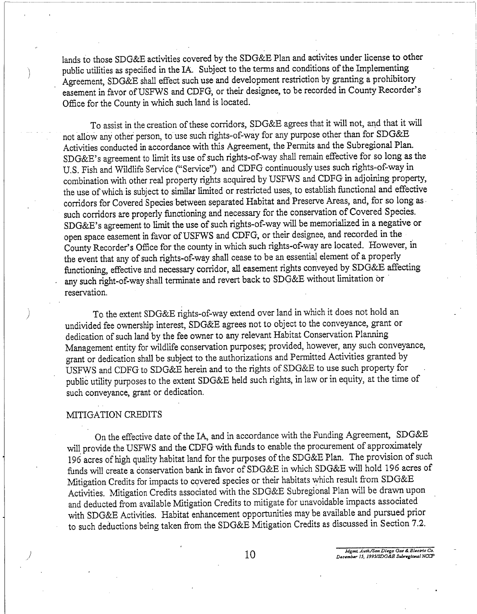lands to those SDG&E activities covered by the SDG&E Plan and activites under license to other public utilities as specified in the IA. Subject to the terms and conditions of the Implementing Agreement, SDG&E shall effect such use and development restriction by granting a prohibitory easement in favor of USFWS and CDFG, or their designee, to be recorded in County Recorder's Office for the County in which such land is located.

To assist in the creation of these corridors, SDG&E agrees that it will not, and that it will not allow any other person, to use such rights-of-way for any purpose other than for SDG&E Activities conducted in accordance with this Agreement, the Permits and the Subregional Plan. SDG&E's agreement to limit its use of such rights-of-way shall remain effective for so long as the U.S. Fish and Wildlife Service ("Service") and CDFG continuously uses such rights-of-way in combination with other real property rights acquired by USFWS and CDFG in adjoining property, the use of which is subject to similar limited or restricted uses, to establish functional and effective corridors for Covered Species between separated Habitat and Preserve Areas, and, for so long as such corridors are properly functioning and necessary for the conservation of Covered Species. SDG&E's agreement to limit the use of such rights-of-way will be memorialized in a negative or open space easement in favor of USFWS and CDFG, or their designee, and recorded in the County Recorder's Office for the county in which such rights-of-way are located. However, in the event that any of such rights-of-way shall cease to be an essential element of a properly functioning, effective and necessary corridor, all easement rights conveyed by SDG&E affecting any such right-of-way shall terminate and revert back to SDG&E without limitation or reservation.

To the extent SDG&E rights-of-way extend over land in which it does not hold an undivided fee ownership interest, SDG&E agrees not to object to the conveyance, grant or dedication of such land by the fee owner to any relevant Habitat Conservation Planning Management entity for wildlife conservation purposes; provided, however, any such conveyance, grant or dedication shall be subject to the authorizations and Permitted Activities granted by USFWS and CDFG to SDG&E herein and to the rights of SDG&E to use such property for public utility purposes to the extent SDG&E held such rights, in law or in equity, at the time of such conveyance, grant or dedication.

## MITIGATION CREDITS

On the effective date of the IA, and in accordance with the Funding Agreement, SDG&E will provide the USFWS and the CDFG with funds to enable the procurement of approximately 196 acres of high quality habitat land for the purposes of the SDG&E Plan. The provision of such funds will create a conservation bank in favor of SDG&E in which SDG&E will hold 196 acres of Mitigation Credits for impacts to covered species or their habitats which result from SDG&E Activities. Mitigation Credits associated with the SDG&E Subregional Plan will be drawn upon and deducted from available Mitigation Credits to mitigate for unavoidable impacts associated with SDG&E Activities. Habitat enhancement opportunities may be available and pursued prior to such deductions being taken from the SDG&E Mitigation Credits as discussed in Section 7.2.

Mgmt. Auth/San Diego Gas & Blectric Co.<br>December 15, 1995/SDG&B Subregional NCCF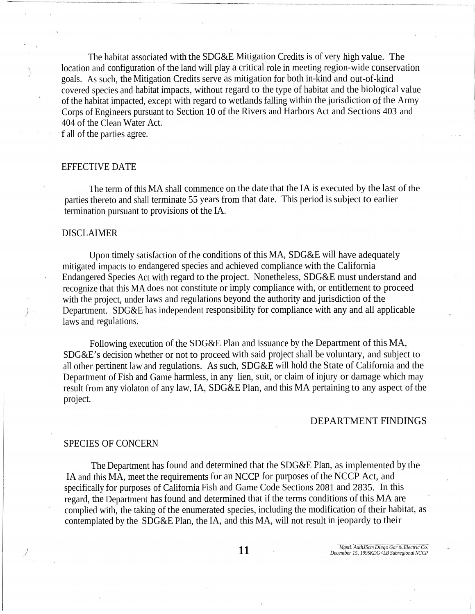The habitat associated with the SDG&E Mitigation Credits is of very high value. The location and configuration of the land will play a critical role in meeting region-wide conservation goals. As such, the Mitigation Credits serve as mitigation for both in-kind and out-of-kind covered species and habitat impacts, without regard to the type of habitat and the biological value of the habitat impacted, except with regard to wetlands falling within the jurisdiction of the Army Corps of Engineers pursuant to Section 10 of the Rivers and Harbors Act and Sections 403 and 404 of the Clean Water Act.

f all of the parties agree.

## EFFECTIVE DATE

The term of this MA shall commence on the date that the IA is executed by the last of the parties thereto and shall terminate 55 years from that date. This period is subject to earlier termination pursuant to provisions of the IA.

#### DISCLAIMER

Upon timely satisfaction of the conditions of this MA, SDG&E will have adequately mitigated impacts to endangered species and achieved compliance with the California Endangered Species Act with regard to the project. Nonetheless, SDG&E must understand and recognize that this MA does not constitute or imply compliance with, or entitlement to proceed with the project, under laws and regulations beyond the authority and jurisdiction of the Department. SDG&E has independent responsibility for compliance with any and all applicable laws and regulations.

Following execution of the SDG&E Plan and issuance by the Department of this MA, SDG&E's decision whether or not to proceed with said project shall be voluntary, and subject to all other pertinent law and regulations. As such, SDG&E will hold the State of California and the Department of Fish and Game harmless, in any lien, suit, or claim of injury or damage which may result from any violaton of any law, IA, SDG&E Plan, and this MA pertaining to any aspect of the project.

## DEPARTMENT FINDINGS

#### SPECIES OF CONCERN

The Department has found and determined that the SDG&E Plan, as implemented by the IA and this MA, meet the requirements for an NCCP for purposes of the NCCP Act, and specifically for purposes of California Fish and Game Code Sections 2081 and 2835. In this regard, the Department has found and determined that if the terms conditions of this MA are complied with, the taking of the enumerated species, including the modification of their habitat, as contemplated by the SDG&E Plan, the IA, and this MA, will not result in jeopardy to their

**11** *MgntL AuthJScm Diego Gar* & *Electric Co.*<br> *December 15, 1998KDG<LB Subregional NCCP*